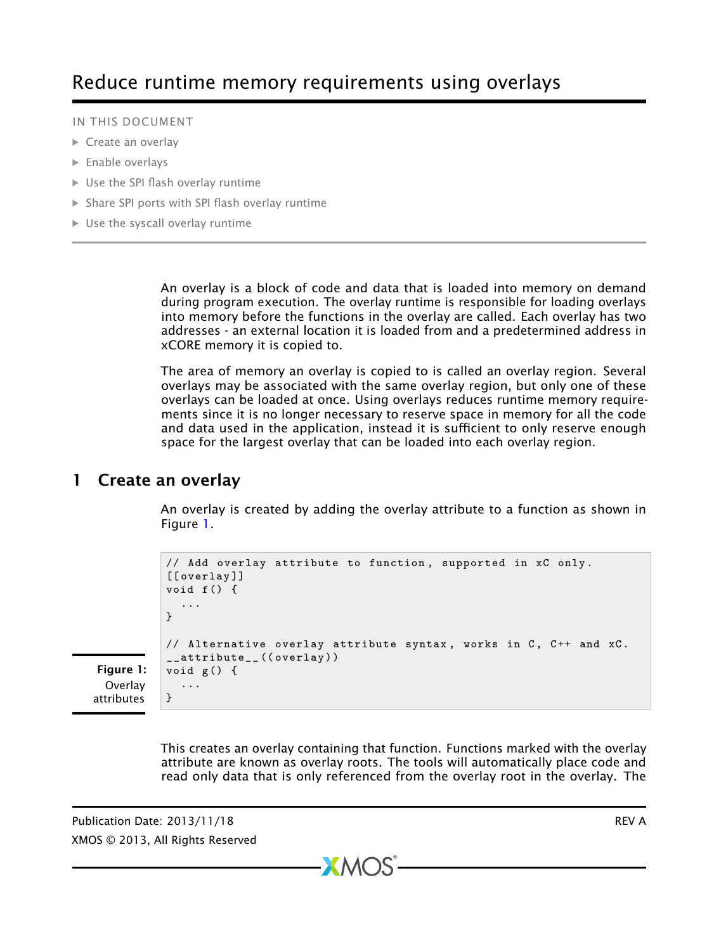#### IN THIS DOCUMENT

- **[Create an overlay](#page-0-0)**
- **[Enable overlays](#page-1-0)**
- · [Use the SPI flash overlay runtime](#page-1-1)
- · [Share SPI ports with SPI flash overlay runtime](#page-1-2)
- $\triangleright$  [Use the syscall overlay runtime](#page-2-0)

An overlay is a block of code and data that is loaded into memory on demand during program execution. The overlay runtime is responsible for loading overlays into memory before the functions in the overlay are called. Each overlay has two addresses - an external location it is loaded from and a predetermined address in xCORE memory it is copied to.

The area of memory an overlay is copied to is called an overlay region. Several overlays may be associated with the same overlay region, but only one of these overlays can be loaded at once. Using overlays reduces runtime memory requirements since it is no longer necessary to reserve space in memory for all the code and data used in the application, instead it is sufficient to only reserve enough space for the largest overlay that can be loaded into each overlay region.

## 1 Create an overlay

<span id="page-0-0"></span>An overlay is created by adding the overlay attribute to a function as shown in Figure [1.](#page-0-1)

```
// Add overlay attribute to function, supported in xC only.
[[ overlay]]
void f() {
  ...
}
// Alternative overlay attribute syntax, works in C, C++ and xC.
__attribute__((overlay))
void g () {
  ...
}
```
<span id="page-0-1"></span>Figure 1: **Overlay** attributes

> This creates an overlay containing that function. Functions marked with the overlay attribute are known as overlay roots. The tools will automatically place code and read only data that is only referenced from the overlay root in the overlay. The

> > $X$ M $(S)$

Publication Date: 2013/11/18 REV A XMOS © 2013, All Rights Reserved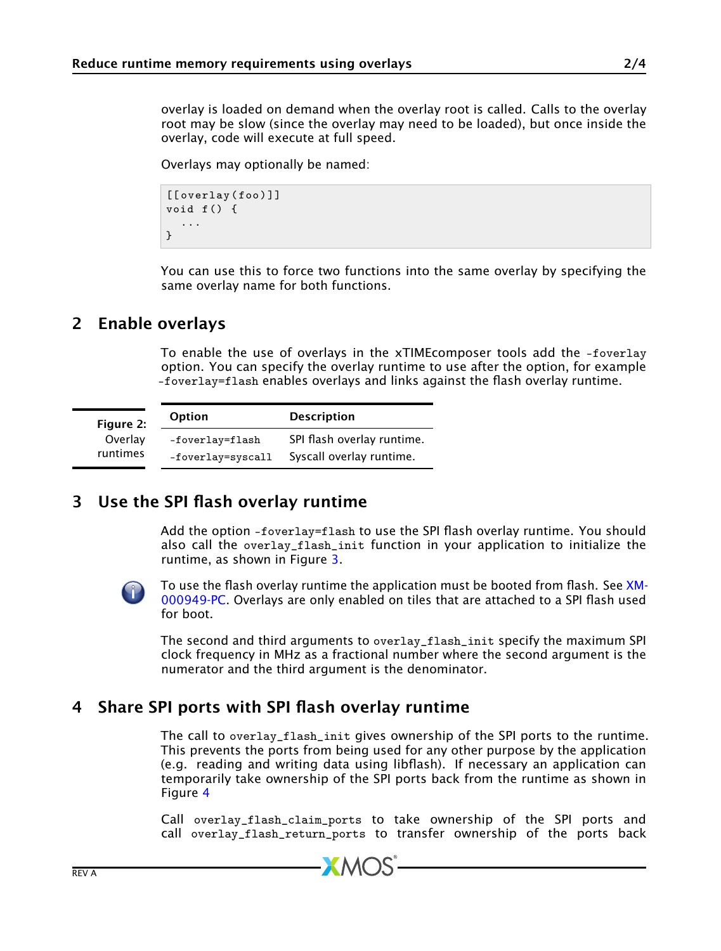overlay is loaded on demand when the overlay root is called. Calls to the overlay root may be slow (since the overlay may need to be loaded), but once inside the overlay, code will execute at full speed.

Overlays may optionally be named:

```
[[ overlay (foo ) ]]
void f () {
   ...
}
```
<span id="page-1-0"></span>You can use this to force two functions into the same overlay by specifying the same overlay name for both functions.

#### 2 Enable overlays

To enable the use of overlays in the xTIMEcomposer tools add the -foverlay option. You can specify the overlay runtime to use after the option, for example -foverlay=flash enables overlays and links against the flash overlay runtime.

| Figure 2:<br>Overlay<br>runtimes | <b>Option</b>                        | <b>Description</b>                                     |
|----------------------------------|--------------------------------------|--------------------------------------------------------|
|                                  | -foverlay=flash<br>-foverlay=syscall | SPI flash overlay runtime.<br>Syscall overlay runtime. |

### 3 Use the SPI flash overlay runtime

<span id="page-1-1"></span>Add the option -foverlay=flash to use the SPI flash overlay runtime. You should also call the overlay\_flash\_init function in your application to initialize the runtime, as shown in Figure [3.](#page-2-1)



[To use the flash overlay runtime the application must be booted from flash. See](http://www.xmos.com/doc/XM-000949-PC/latest#design-with-flash) [XM-](http://www.xmos.com/doc/XM-000949-PC/latest#design-with-flash)[000949-PC.](http://www.xmos.com/doc/XM-000949-PC/latest#design-with-flash) Overlays are only enabled on tiles that are attached to a SPI flash used for boot.

The second and third arguments to overlay\_flash\_init specify the maximum SPI clock frequency in MHz as a fractional number where the second argument is the numerator and the third argument is the denominator.

# 4 Share SPI ports with SPI flash overlay runtime

<span id="page-1-2"></span>The call to overlay\_flash\_init gives ownership of the SPI ports to the runtime. This prevents the ports from being used for any other purpose by the application (e.g. reading and writing data using libflash). If necessary an application can temporarily take ownership of the SPI ports back from the runtime as shown in Figure [4](#page-2-2)

Call overlay\_flash\_claim\_ports to take ownership of the SPI ports and call overlay\_flash\_return\_ports to transfer ownership of the ports back

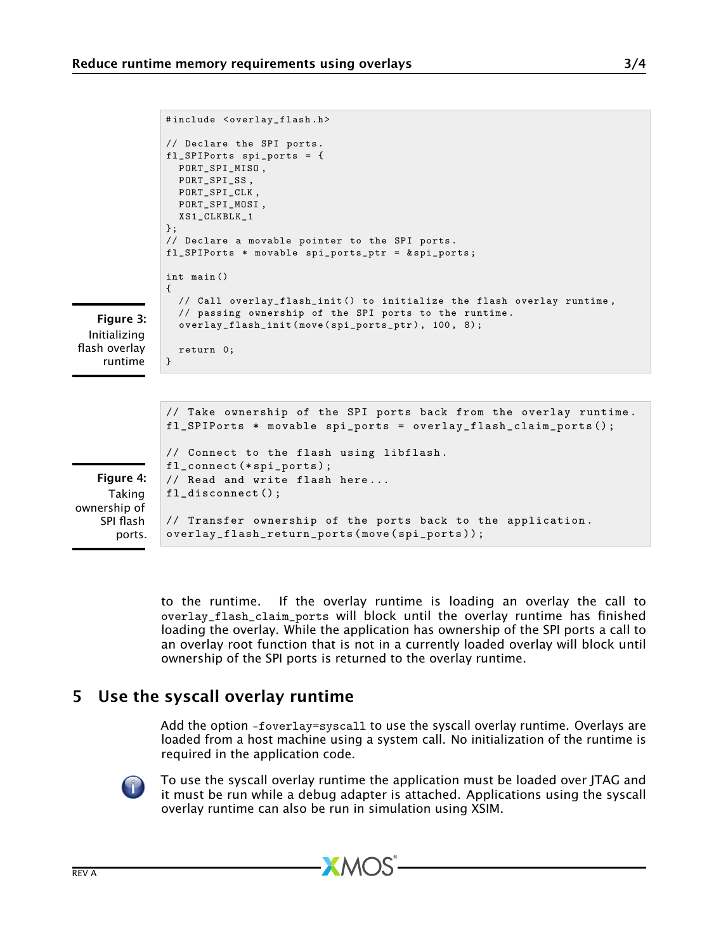```
#include <overlay_flash.h>
              // Declare the SPI ports .
              fl_SPIPorts spi_ports = {
               PORT_SPI_MISO ,
               PORT SPI_SS.
               PORT_SPI_CLK ,
               PORT_SPI_MOSI ,
               XS1_CLKBLK_1
              };
              // Declare a movable pointer to the SPI ports .
              fl_SPIPorts * movable spi_ports_ptr = & spi_ports ;
              int main ()
              {
                // Call overlay_flash_init () to initialize the flash overlay runtime ,
                // passing ownership of the SPI ports to the runtime .
                overlay_flash_init ( move ( spi_ports_ptr ) , 100 , 8) ;
                return 0;
             }
   Figure 3:
 Initializing
flash overlay
              // Take ownership of the SPI ports back from the overlay runtime .
              fl_SPIPorts * movable spi_ports = overlay_flash_claim_ports () ;
              // Connect to the flash using libflash .
              fl_connect (* spi_ports );
              // Read and write flash here ...
              fl_disconnect();
```
<span id="page-2-1"></span>runtime

<span id="page-2-2"></span>Figure 4: Taking ownership of SPI flash ports.

// Transfer ownership of the ports back to the application . overlay\_flash\_return\_ports ( move ( spi\_ports )) ;

to the runtime. If the overlay runtime is loading an overlay the call to overlay\_flash\_claim\_ports will block until the overlay runtime has finished loading the overlay. While the application has ownership of the SPI ports a call to an overlay root function that is not in a currently loaded overlay will block until ownership of the SPI ports is returned to the overlay runtime.

# 5 Use the syscall overlay runtime

<span id="page-2-0"></span>Add the option -foverlay=syscall to use the syscall overlay runtime. Overlays are loaded from a host machine using a system call. No initialization of the runtime is required in the application code.



To use the syscall overlay runtime the application must be loaded over JTAG and it must be run while a debug adapter is attached. Applications using the syscall overlay runtime can also be run in simulation using XSIM.